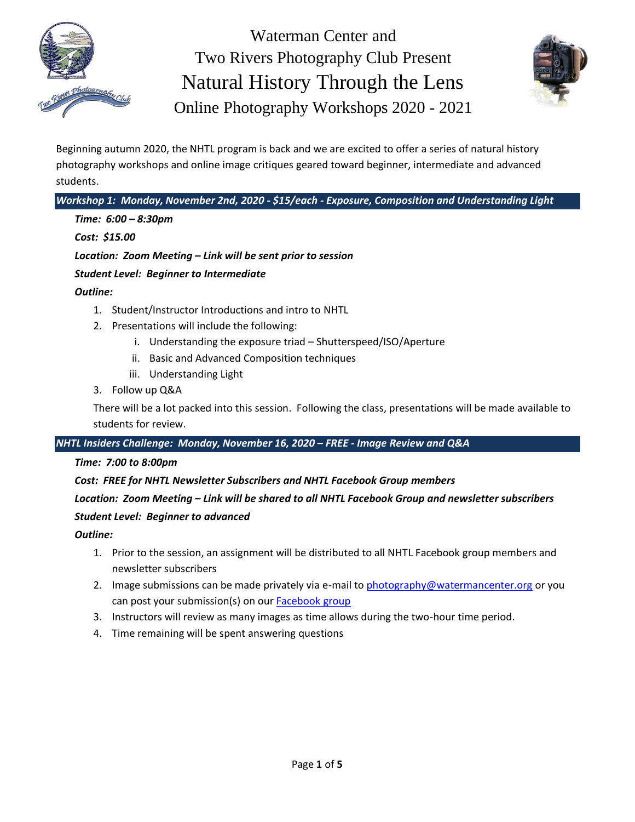



Beginning autumn 2020, the NHTL program is back and we are excited to offer a series of natural history photography workshops and online image critiques geared toward beginner, intermediate and advanced students.

*Workshop 1: Monday, November 2nd, 2020 - \$15/each - Exposure, Composition and Understanding Light*

*Time: 6:00 – 8:30pm*

*Cost: \$15.00*

*Location: Zoom Meeting – Link will be sent prior to session*

*Student Level: Beginner to Intermediate*

*Outline:*

- 1. Student/Instructor Introductions and intro to NHTL
- 2. Presentations will include the following:
	- i. Understanding the exposure triad Shutterspeed/ISO/Aperture
	- ii. Basic and Advanced Composition techniques
	- iii. Understanding Light
- 3. Follow up Q&A

There will be a lot packed into this session. Following the class, presentations will be made available to students for review.

*NHTL Insiders Challenge: Monday, November 16, 2020 – FREE - Image Review and Q&A*

*Time: 7:00 to 8:00pm*

*Cost: FREE for NHTL Newsletter Subscribers and NHTL Facebook Group members*

# *Location: Zoom Meeting – Link will be shared to all NHTL Facebook Group and newsletter subscribers*

# *Student Level: Beginner to advanced*

*Outline:*

- 1. Prior to the session, an assignment will be distributed to all NHTL Facebook group members and newsletter subscribers
- 2. Image submissions can be made privately via e-mail t[o photography@watermancenter.org](mailto:photography@watermancenter.org) or you can post your submission(s) on our **Facebook group**
- 3. Instructors will review as many images as time allows during the two-hour time period.
- 4. Time remaining will be spent answering questions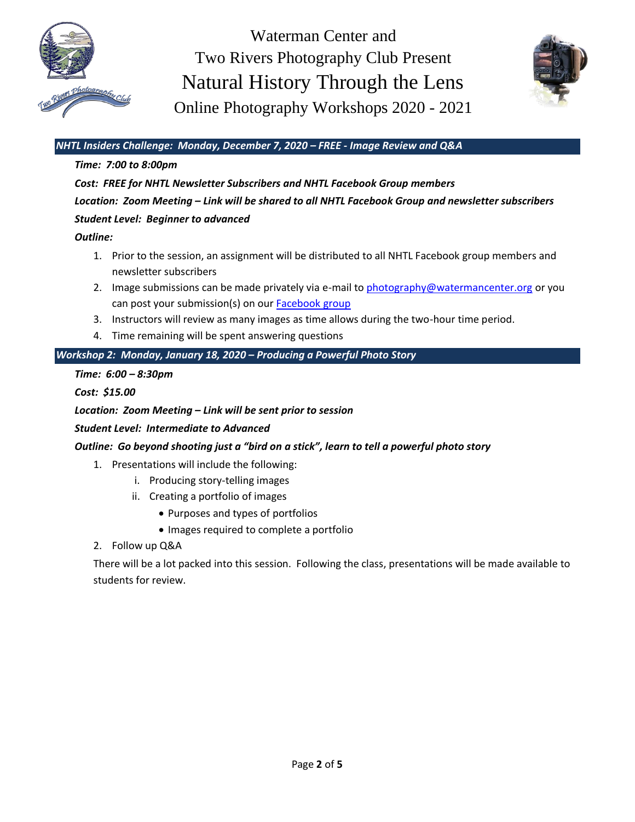



# *NHTL Insiders Challenge: Monday, December 7, 2020 – FREE - Image Review and Q&A*

### *Time: 7:00 to 8:00pm*

*Cost: FREE for NHTL Newsletter Subscribers and NHTL Facebook Group members Location: Zoom Meeting – Link will be shared to all NHTL Facebook Group and newsletter subscribers Student Level: Beginner to advanced*

### *Outline:*

- 1. Prior to the session, an assignment will be distributed to all NHTL Facebook group members and newsletter subscribers
- 2. Image submissions can be made privately via e-mail t[o photography@watermancenter.org](mailto:photography@watermancenter.org) or you can post your submission(s) on our [Facebook group](https://www.facebook.com/groups/240637993290053)
- 3. Instructors will review as many images as time allows during the two-hour time period.
- 4. Time remaining will be spent answering questions

# *Workshop 2: Monday, January 18, 2020 – Producing a Powerful Photo Story*

#### *Time: 6:00 – 8:30pm*

*Cost: \$15.00*

### *Location: Zoom Meeting – Link will be sent prior to session*

#### *Student Level: Intermediate to Advanced*

# *Outline: Go beyond shooting just a "bird on a stick", learn to tell a powerful photo story*

- 1. Presentations will include the following:
	- i. Producing story-telling images
	- ii. Creating a portfolio of images
		- Purposes and types of portfolios
		- Images required to complete a portfolio
- 2. Follow up Q&A

There will be a lot packed into this session. Following the class, presentations will be made available to students for review.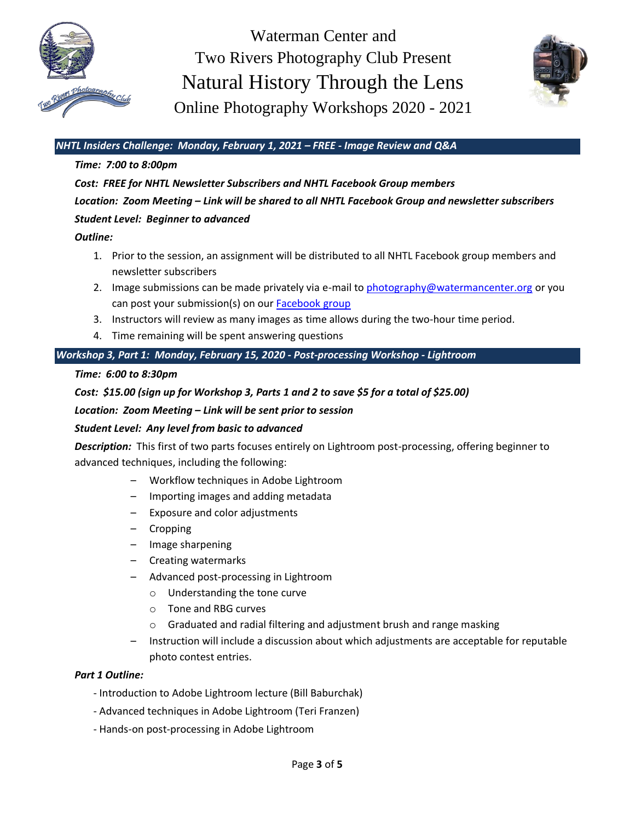



## *NHTL Insiders Challenge: Monday, February 1, 2021 – FREE - Image Review and Q&A*

#### *Time: 7:00 to 8:00pm*

*Cost: FREE for NHTL Newsletter Subscribers and NHTL Facebook Group members Location: Zoom Meeting – Link will be shared to all NHTL Facebook Group and newsletter subscribers Student Level: Beginner to advanced*

#### *Outline:*

- 1. Prior to the session, an assignment will be distributed to all NHTL Facebook group members and newsletter subscribers
- 2. Image submissions can be made privately via e-mail t[o photography@watermancenter.org](mailto:photography@watermancenter.org) or you can post your submission(s) on our [Facebook group](https://www.facebook.com/groups/240637993290053)
- 3. Instructors will review as many images as time allows during the two-hour time period.
- 4. Time remaining will be spent answering questions

## *Workshop 3, Part 1: Monday, February 15, 2020 - Post-processing Workshop - Lightroom*

#### *Time: 6:00 to 8:30pm*

### *Cost: \$15.00 (sign up for Workshop 3, Parts 1 and 2 to save \$5 for a total of \$25.00)*

*Location: Zoom Meeting – Link will be sent prior to session*

#### *Student Level: Any level from basic to advanced*

*Description:* This first of two parts focuses entirely on Lightroom post-processing, offering beginner to advanced techniques, including the following:

- Workflow techniques in Adobe Lightroom
- Importing images and adding metadata
- Exposure and color adjustments
- Cropping
- Image sharpening
- Creating watermarks
- Advanced post-processing in Lightroom
	- o Understanding the tone curve
	- o Tone and RBG curves
	- o Graduated and radial filtering and adjustment brush and range masking
- Instruction will include a discussion about which adjustments are acceptable for reputable photo contest entries.

#### *Part 1 Outline:*

- Introduction to Adobe Lightroom lecture (Bill Baburchak)
- Advanced techniques in Adobe Lightroom (Teri Franzen)
- Hands-on post-processing in Adobe Lightroom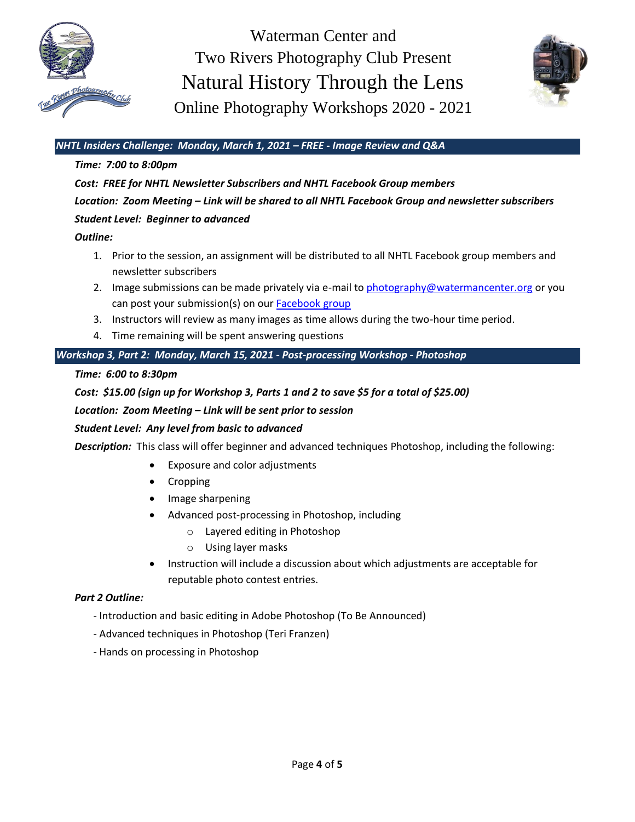



## *NHTL Insiders Challenge: Monday, March 1, 2021 – FREE - Image Review and Q&A*

#### *Time: 7:00 to 8:00pm*

*Cost: FREE for NHTL Newsletter Subscribers and NHTL Facebook Group members Location: Zoom Meeting – Link will be shared to all NHTL Facebook Group and newsletter subscribers Student Level: Beginner to advanced*

#### *Outline:*

- 1. Prior to the session, an assignment will be distributed to all NHTL Facebook group members and newsletter subscribers
- 2. Image submissions can be made privately via e-mail t[o photography@watermancenter.org](mailto:photography@watermancenter.org) or you can post your submission(s) on our [Facebook group](https://www.facebook.com/groups/240637993290053)
- 3. Instructors will review as many images as time allows during the two-hour time period.
- 4. Time remaining will be spent answering questions

# *Workshop 3, Part 2: Monday, March 15, 2021 - Post-processing Workshop - Photoshop*

#### *Time: 6:00 to 8:30pm*

### *Cost: \$15.00 (sign up for Workshop 3, Parts 1 and 2 to save \$5 for a total of \$25.00)*

#### *Location: Zoom Meeting – Link will be sent prior to session*

#### *Student Level: Any level from basic to advanced*

*Description:* This class will offer beginner and advanced techniques Photoshop, including the following:

- Exposure and color adjustments
- Cropping
- Image sharpening
- Advanced post-processing in Photoshop, including
	- o Layered editing in Photoshop
	- o Using layer masks
- Instruction will include a discussion about which adjustments are acceptable for reputable photo contest entries.

#### *Part 2 Outline:*

- Introduction and basic editing in Adobe Photoshop (To Be Announced)
- Advanced techniques in Photoshop (Teri Franzen)
- Hands on processing in Photoshop